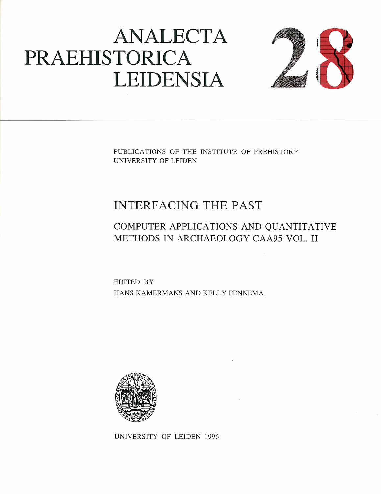# ANALECTA PRAEHISTORICA LEIDENSIA



PUBLICATIONS OF THE INSTITUTE OF PREHISTORY UNIVERSITY OF LEIDEN

# INTERFACING THE PAST

## COMPUTER APPLICATIONS AND QUANTITATIVE METHODS IN ARCHAEOLOGY CAA95 VOL. I1

EDITED BY HANS KAMERMANS AND KELLY FENNEMA



UNIVERSITY OF LEIDEN 1996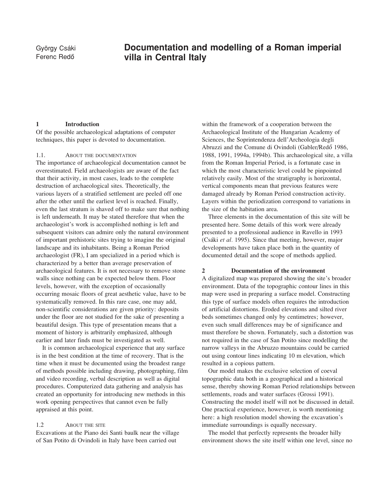### György Csáki **Documentation and modelling of a Roman imperial**<br>Ferenc Bedő **Mulla in Central Italy** villa in Central Italy

#### 1 Introduction

Of the possible archaeological adaptations of computer techniques, this paper is devoted to documentation.

#### 1.1. ABOUT THE DOCUMENTATION

The importance of archaeological documentation cannot be overestimated. Field archaeologists are aware of the fact that their activity, in most cases, leads to the complete destruction of archaeological sites. Theoretically, the various layers of a stratified settlement are peeled off one after the other until the earliest level is reached. Finally, even the last stratum is shaved off to make sure that nothing is left underneath. It may be stated therefore that when the archaeologist's work is accomplished nothing is left and subsequent visitors can admire only the natural environment of important prehistoric sites trying to imagine the original landscape and its inhabitants. Being a Roman Period archaeologist (FR), I am specialized in a period which is characterized by a better than average preservation of archaeological features. It is not necessary to remove stone walls since nothing can be expected below them. Floor levels, however, with the exception of occasionally occurring mosaic floors of great aesthetic value, have to be systematically removed. In this rare case, one may add, non-scientific considerations are given priority: deposits under the floor are not studied for the sake of presenting a beautiful design. This type of presentation means that a moment of history is arbitrarily emphasized, although earlier and later finds must be investigated as well.

It is common archaeological experience that any surface is in the best condition at the time of recovery. That is the time when it must be documented using the broadest range of methods possible including drawing, photographing, film and video recording, verbal description as well as digital procedures. Computerized data gathering and analysis has created an opportunity for introducing new methods in this work opening perspectives that cannot even be fully appraised at this point.

#### 1.2 **ABOUT THE SITE**

Excavations at the Piano dei Santi baulk near the village of San Potito di Ovindoli in Italy have been carried out

within the framework of a cooperation between the Archaeological Institute of the Hungarian Academy of Sciences, the Soprintendenza dell'Archeologia degli Abruzzi and the Comune di Ovindoli (Gabler/Redö 1986, 1988, 1991, 1994a, 1994b). This archaeological site, a villa from the Roman Imperial Period, is a fortunate case in which the most characteristic level could be pinpointed relatively easily. Most of the stratigraphy is horizontal, vertical components mean that previous features were damaged already by Roman Period construction activity. Layers within the periodization correspond to variations in the size of the habitation area.

Three elements in the documentation of this site will be presented here. Some details of this work were already presented to a professional audience in Ravello in 1993 (Csáki et al. 1995). Since that meeting, however, major developments have taken place both in the quantity of documented detail and the scope of methods applied.

#### 2 Documentation of the environment

A digitalized map was prepared showing the site's broader environment. Data of the topographic contour lines in this map were used in preparing a surface model. Constructing this type of surface models often requires the introduction of artificial distortions. Eroded elevations and silted river beds sometimes changed only by centimetres; however, even such small differences may be of significance and must therefore be shown. Fortunately, such a distortion was not required in the case of San Potito since modelling the narrow valleys in the Abruzzo mountains could be carried out using contour lines indicating 10 m elevation, which resulted in a copious pattern.

Our model makes the exclusive selection of coeval topographic data both in a geographical and a historical sense, thereby showing Roman Period relationships between settlements, roads and water surfaces (Grossi 1991). Constructing the model itself will not be discussed in detail. One practical experience, however, is worth mentioning here: a high resolution model showing the excavation's immediate surroundings is equally necessary.

The model that perfectly represents the broader hilly environment shows the site itself within one level, since no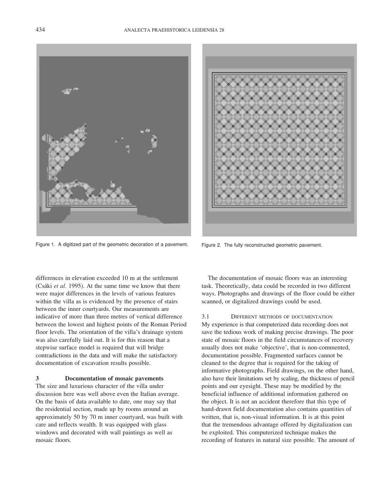Figure 1. A digitized part of the geometric decoration of a pavement.

differences in elevation exceeded 10 m at the settlement (Csáki et al. 1995). At the same time we know that there were major differences in the levels of various features within the villa as is evidenced by the presence of stairs between the inner courtyards. Our measurements are indicative of more than three metres of vertical difference between the lowest and highest points of the Roman Period floor levels. The orientation of the villa's drainage system was also carefully laid out. It is for this reason that a stepwise surface model is required that will bridge contradictions in the data and will make the satisfactory documentation of excavation results possible.

#### 3 Documentation of mosaic pavements

The size and luxurious character of the villa under discussion here was well above even the Italian average. On the basis of data available to date, one may say that the residential section, made up by rooms around an approximately 50 by 70 m inner courtyard, was built with care and reflects wealth. It was equipped with glass windows and decorated with wall paintings as well as mosaic floors.



Figure 2. The fully reconstructed geometric pavement.

The documentation of mosaic floors was an interesting task. Theoretically, data could be recorded in two different ways. Photographs and drawings of the floor could be either scanned, or digitalized drawings could be used.

3.1 DIFFERENT METHODS OF DOCUMENTATION My experience is that computerized data recording does not save the tedious work of making precise drawings. The poor state of mosaic floors in the field circumstances of recovery usually does not make 'objective', that is non-commented, documentation possible. Fragmented surfaces cannot be cleaned to the degree that is required for the taking of informative photographs. Field drawings, on the other hand, also have their limitations set by scaling, the thickness of pencil points and our eyesight. These may be modified by the beneficial influence of additional information gathered on the object. It is not an accident therefore that this type of hand-drawn field documentation also contains quantities of written, that is, non-visual information. It is at this point that the tremendous advantage offered by digitalization can be exploited. This computerized technique makes the recording of features in natural size possible. The amount of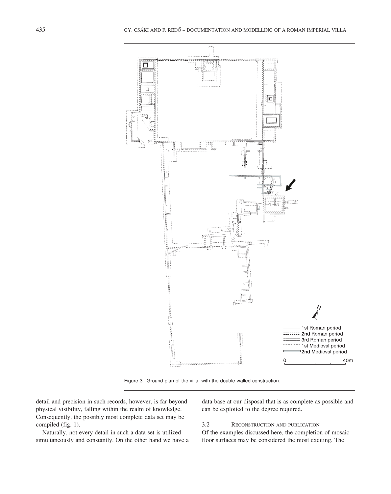

Figure 3. Ground plan of the villa, with the double walled construction.

detail and precision in such records, however, is far beyond physical visibility, falling within the realm of knowledge. Consequently, the possibly most complete data set may be compiled (fig. 1).

Naturally, not every detail in such a data set is utilized simultaneously and constantly. On the other hand we have a data base at our disposal that is as complete as possible and can be exploited to the degree required.

#### 3.2 RECONSTRUCTION AND PUBLICATION

Of the examples discussed here, the completion of mosaic floor surfaces may be considered the most exciting. The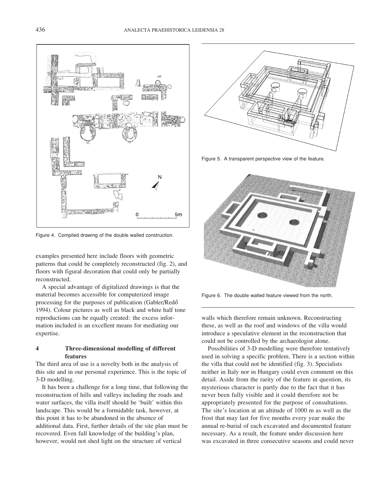

Figure 4. Compiled drawing of the double walled construction.

examples presented here include floors with geometric patterns that could be completely reconstructed (fig. 2), and floors with figural decoration that could only be partially reconstructed.

A special advantage of digitalized drawings is that the material becomes accessible for computerized image processing for the purposes of publication (Gabler/Redö 1994). Colour pictures as well as black and white half tone reproductions can be equally created: the excess information included is an excellent means for mediating our expertise.

#### 4 Three-dimensional modelling of different features

The third area of use is a novelty both in the analysis of this site and in our personal experience. This is the topic of 3-D modelling.

It has been a challenge for a long time, that following the reconstruction of hills and valleys including the roads and water surfaces, the villa itself should be 'built' within this landscape. This would be a formidable task, however, at this point it has to be abandoned in the absence of additional data. First, further details of the site plan must be recovered. Even full knowledge of the building's plan, however, would not shed light on the structure of vertical



Figure 5. A transparent perspective view of the feature.



Figure 6. The double walled feature viewed from the north.

walls which therefore remain unknown. Reconstructing these, as well as the roof and windows of the villa would introduce a speculative element in the reconstruction that could not be controlled by the archaeologist alone.

Possibilities of 3-D modelling were therefore tentatively used in solving a specific problem. There is a section within the villa that could not be identified (fig. 3). Specialists neither in Italy nor in Hungary could even comment on this detail. Aside from the rarity of the feature in question, its mysterious character is partly due to the fact that it has never been fully visible and it could therefore not be appropriately presented for the purpose of consultations. The site's location at an altitude of 1000 m as well as the frost that may last for five months every year make the annual re-burial of each excavated and documented feature necessary. As a result, the feature under discussion here was excavated in three consecutive seasons and could never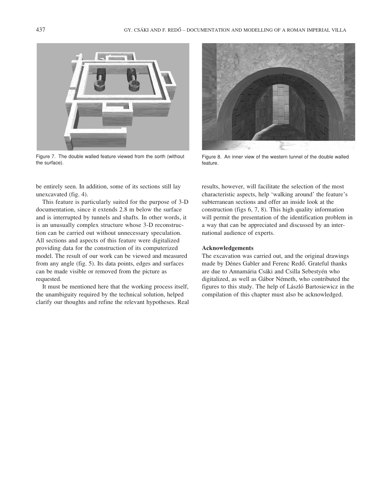

Figure 7. The double walled feature viewed from the sorth (without the surface).

be entirely seen. In addition, some of its sections still lay unexcavated (fig. 4).

This feature is particularly suited for the purpose of 3-D documentation, since it extends 2.8 m below the surface and is interrupted by tunnels and shafts. In other words, it is an unusually complex structure whose 3-D reconstruction can be carried out without unnecessary speculation. All sections and aspects of this feature were digitalized providing data for the construction of its computerized model. The result of our work can be viewed and measured from any angle (fig. 5). Its data points, edges and surfaces can be made visible or removed from the picture as requested.

It must be mentioned here that the working process itself, the unambiguity required by the technical solution, helped clarify our thoughts and refine the relevant hypotheses. Real



Figure 8. An inner view of the western tunnel of the double walled feature.

results, however, will facilitate the selection of the most characteristic aspects, help 'walking around' the feature's subterranean sections and offer an inside look at the construction (figs 6, 7, 8). This high quality information will permit the presentation of the identification problem in a way that can be appreciated and discussed by an international audience of experts.

#### Acknowledgements

The excavation was carried out, and the original drawings made by Dénes Gabler and Ferenc Redö. Grateful thanks are due to Annamária Csáki and Csilla Sebestyén who digitalized, as well as Gábor Németh, who contributed the figures to this study. The help of László Bartosiewicz in the compilation of this chapter must also be acknowledged.